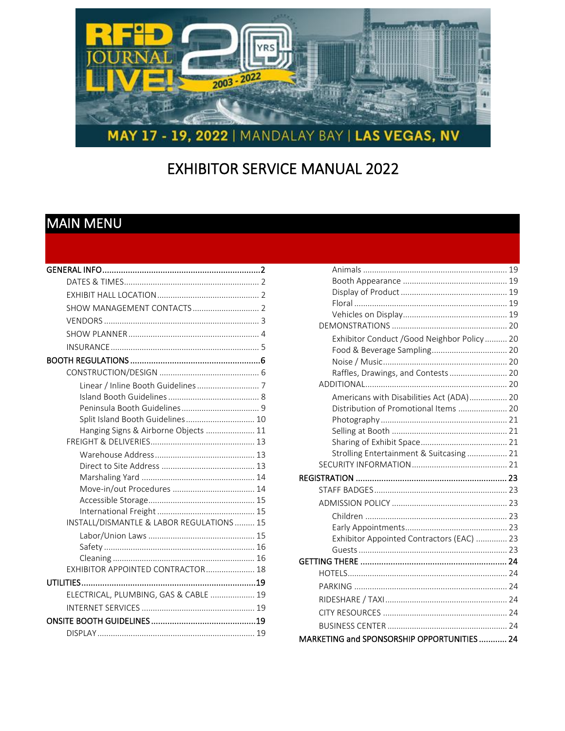

# **EXHIBITOR SERVICE MANUAL 2022**

# <span id="page-0-1"></span>**MAIN MENU**

<span id="page-0-0"></span>

| Split Island Booth Guidelines 10          |  |
|-------------------------------------------|--|
| Hanging Signs & Airborne Objects  11      |  |
|                                           |  |
|                                           |  |
|                                           |  |
|                                           |  |
|                                           |  |
|                                           |  |
|                                           |  |
| INSTALL/DISMANTLE & LABOR REGULATIONS  15 |  |
|                                           |  |
|                                           |  |
|                                           |  |
| EXHIBITOR APPOINTED CONTRACTOR 18         |  |
|                                           |  |
| ELECTRICAL, PLUMBING, GAS & CABLE  19     |  |
|                                           |  |
|                                           |  |
|                                           |  |
|                                           |  |

| Exhibitor Conduct /Good Neighbor Policy  20 |  |
|---------------------------------------------|--|
| Food & Beverage Sampling 20                 |  |
|                                             |  |
| Raffles, Drawings, and Contests 20          |  |
|                                             |  |
| Americans with Disabilities Act (ADA) 20    |  |
| Distribution of Promotional Items  20       |  |
|                                             |  |
|                                             |  |
|                                             |  |
| Strolling Entertainment & Suitcasing  21    |  |
|                                             |  |
|                                             |  |
|                                             |  |
|                                             |  |
|                                             |  |
|                                             |  |
| Exhibitor Appointed Contractors (EAC)  23   |  |
|                                             |  |
|                                             |  |
|                                             |  |
|                                             |  |
|                                             |  |
|                                             |  |
|                                             |  |
| MARKETING and SPONSORSHIP OPPORTUNITIES 24  |  |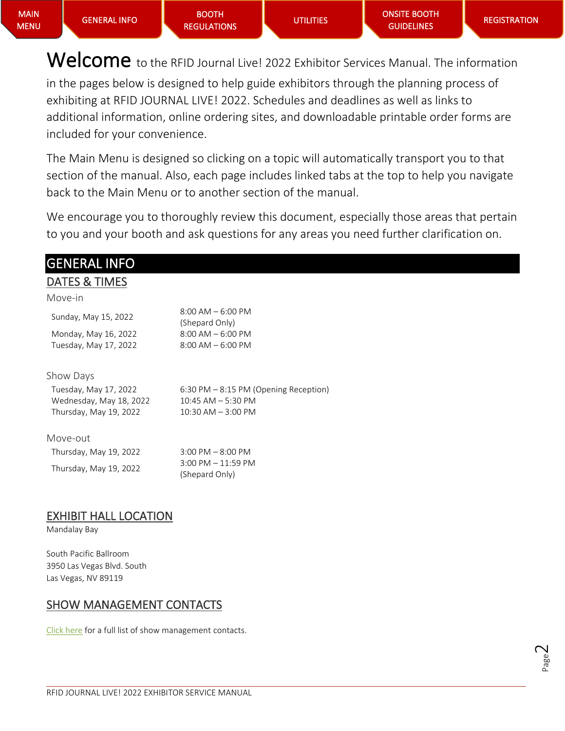Welcome to the RFID Journal Live! 2022 Exhibitor Services Manual. The information in the pages below is designed to help guide exhibitors through the planning process of exhibiting at RFID JOURNAL LIVE! 2022. Schedules and deadlines as well as links to additional information, online ordering sites, and downloadable printable order forms are included for your convenience.

The Main Menu is designed so clicking on a topic will automatically transport you to that section of the manual. Also, each page includes linked tabs at the top to help you navigate back to the Main Menu or to another section of the manual.

We encourage you to thoroughly review this document, especially those areas that pertain to you and your booth and ask questions for any areas you need further clarification on.

# <span id="page-1-0"></span>GENERAL INFO

### <span id="page-1-1"></span>DATES & TIMES

| Move-in |  |
|---------|--|
|         |  |
|         |  |

| Sunday, May 15, 2022                          | $8:00$ AM $-6:00$ PM<br>(Shepard Only)       |
|-----------------------------------------------|----------------------------------------------|
| Monday, May 16, 2022<br>Tuesday, May 17, 2022 | $8:00$ AM $-6:00$ PM<br>$8:00$ AM $-6:00$ PM |
|                                               |                                              |

#### Show Days

| Tuesday, May 17, 2022   | $6:30 \text{ PM} - 8:15 \text{ PM}$ (Opening Reception) |
|-------------------------|---------------------------------------------------------|
| Wednesday, May 18, 2022 | $10:45$ AM $-$ 5:30 PM                                  |
| Thursday, May 19, 2022  | $10:30$ AM $-$ 3:00 PM                                  |
|                         |                                                         |

#### Move-out

| Thursday, May 19, 2022 | $3:00$ PM $-8:00$ PM  |
|------------------------|-----------------------|
|                        | $3:00$ PM $-11:59$ PM |
| Thursday, May 19, 2022 | (Shepard Only)        |

### <span id="page-1-2"></span>EXHIBIT HALL LOCATION

Mandalay Bay

South Pacific Ballroom 3950 Las Vegas Blvd. South Las Vegas, NV 89119

### <span id="page-1-3"></span>SHOW MANAGEMENT CONTACTS

[Click here](https://rfidjournallive.com/contact/) for a full list of show management contacts.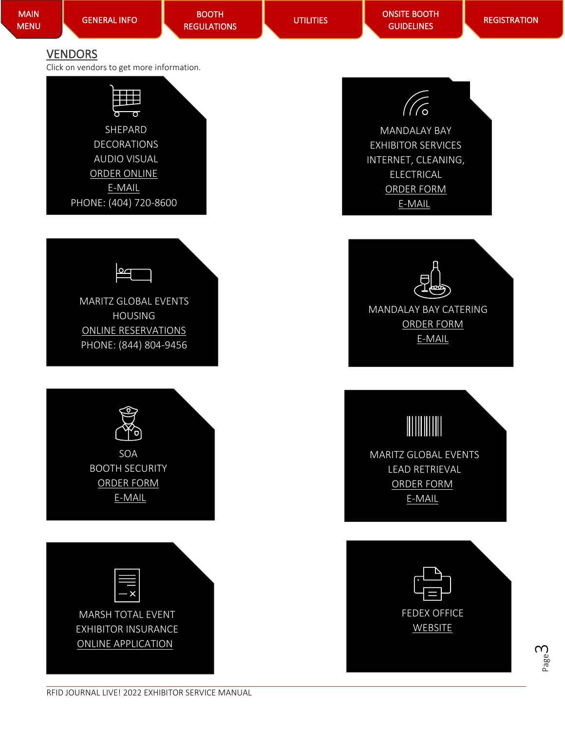<span id="page-2-0"></span>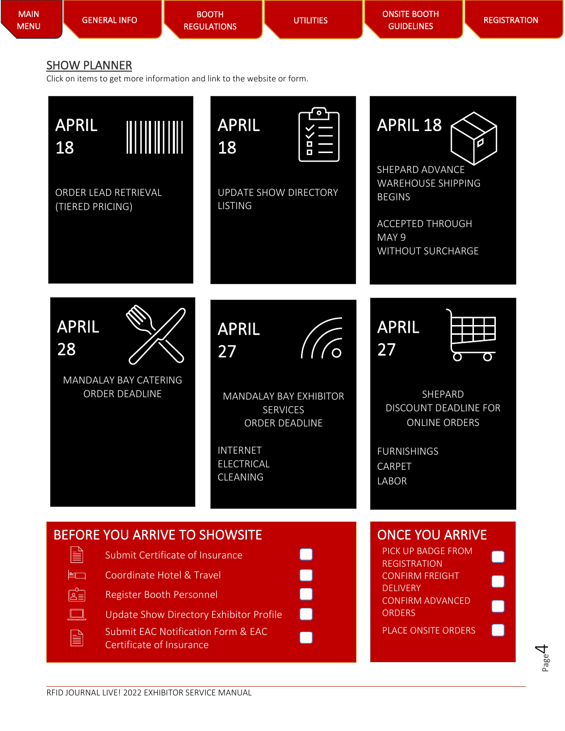<span id="page-3-0"></span>

| <b>MAIN</b><br><b>MENU</b> | <b>GENERAL INFO</b>                                                                                                                                    | <b>BOOTH</b><br><b>REGULATIONS</b>                                                                                                                                                                                                                                      | <b>UTILITIES</b>                                                                     | <b>ONSITE BOOTH</b><br><b>GUIDELINES</b>                                                                                                                                                                                                                          | <b>REGISTRATION</b> |
|----------------------------|--------------------------------------------------------------------------------------------------------------------------------------------------------|-------------------------------------------------------------------------------------------------------------------------------------------------------------------------------------------------------------------------------------------------------------------------|--------------------------------------------------------------------------------------|-------------------------------------------------------------------------------------------------------------------------------------------------------------------------------------------------------------------------------------------------------------------|---------------------|
|                            | <b>SHOW PLANNER</b><br><b>APRIL</b><br>18<br>ORDER LEAD RETRIEVAL<br>(TIERED PRICING)<br><b>APRIL</b><br>28<br>MANDALAY BAY CATERING<br>ORDER DEADLINE | Click on items to get more information and link to the website or form.<br><b>APRIL</b><br>18<br><b>LISTING</b><br><b>APRIL</b><br>27<br><b>INTERNET</b>                                                                                                                | UPDATE SHOW DIRECTORY<br>MANDALAY BAY EXHIBITOR<br><b>SERVICES</b><br>ORDER DEADLINE | APRIL 18<br>SHEPARD ADVANCE<br><b>WAREHOUSE SHIPPING</b><br><b>BEGINS</b><br><b>ACCEPTED THROUGH</b><br>MAY <sub>9</sub><br>WITHOUT SURCHARGE<br><b>APRIL</b><br>27<br>O<br>SHEPARD<br><b>DISCOUNT DEADLINE FOR</b><br><b>ONLINE ORDERS</b><br><b>FURNISHINGS</b> | ਠ                   |
|                            | E<br>$\left  \begin{matrix} 2 \\ -1 \end{matrix} \right $<br>$\mathbb{E}$<br><u>le l</u><br>B                                                          | <b>ELECTRICAL</b><br>CLEANING<br>BEFORE YOU ARRIVE TO SHOWSITE<br>Submit Certificate of Insurance<br>Coordinate Hotel & Travel<br>Register Booth Personnel<br>Update Show Directory Exhibitor Profile<br>Submit EAC Notification Form & EAC<br>Certificate of Insurance |                                                                                      | CARPET<br><b>LABOR</b><br><b>ONCE YOU ARRIVE</b><br>PICK UP BADGE FROM<br><b>REGISTRATION</b><br><b>CONFIRM FREIGHT</b><br><b>DELIVERY</b><br><b>CONFIRM ADVANCED</b><br><b>ORDERS</b><br>PLACE ONSITE ORDERS                                                     | 7                   |

Page 4

 $\Box$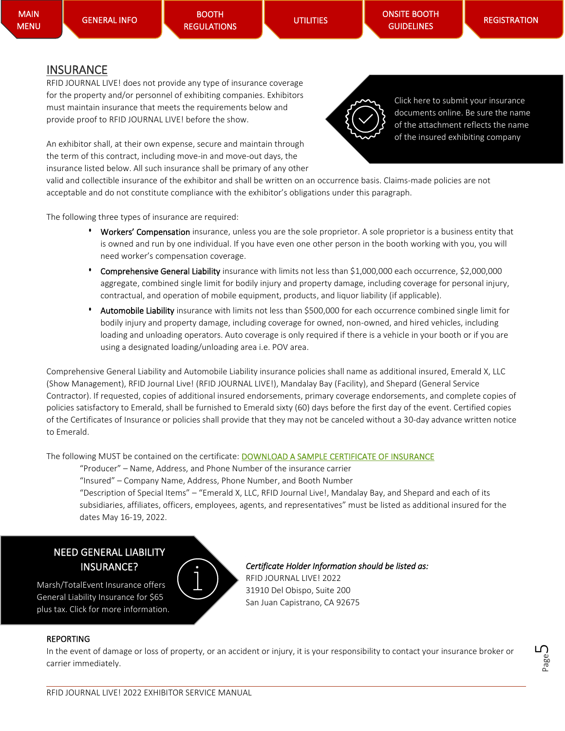[ONSITE BOOTH](#page-18-3)  **GUIDELINES** 

### <span id="page-4-0"></span>**INSURANCE**

RFID JOURNAL LIVE! does not provide any type of insurance coverage for the property and/or personnel of exhibiting companies. Exhibitors must maintain insurance that meets the requirements below and provide proof to RFID JOURNAL LIVE! before the show.

An exhibitor shall, at their own expense, secure and maintain through the term of this contract, including move-in and move-out days, the insurance listed below. All such insurance shall be primary of any other

valid and collectible insurance of the exhibitor and shall be written on an occurrence basis. Claims-made policies are not acceptable and do not constitute compliance with the exhibitor's obligations under this paragraph.

The following three types of insurance are required:

- Workers' Compensation insurance, unless you are the sole proprietor. A sole proprietor is a business entity that is owned and run by one individual. If you have even one other person in the booth working with you, you will need worker's compensation coverage.
- **•** Comprehensive General Liability insurance with limits not less than \$1,000,000 each occurrence, \$2,000,000 aggregate, combined single limit for bodily injury and property damage, including coverage for personal injury, contractual, and operation of mobile equipment, products, and liquor liability (if applicable).
- **•** Automobile Liability insurance with limits not less than \$500,000 for each occurrence combined single limit for bodily injury and property damage, including coverage for owned, non-owned, and hired vehicles, including loading and unloading operators. Auto coverage is only required if there is a vehicle in your booth or if you are using a designated loading/unloading area i.e. POV area.

Comprehensive General Liability and Automobile Liability insurance policies shall name as additional insured, Emerald X, LLC (Show Management), RFID Journal Live! (RFID JOURNAL LIVE!), Mandalay Bay (Facility), and Shepard (General Service Contractor). If requested, copies of additional insured endorsements, primary coverage endorsements, and complete copies of policies satisfactory to Emerald, shall be furnished to Emerald sixty (60) days before the first day of the event. Certified copies of the Certificates of Insurance or policies shall provide that they may not be canceled without a 30-day advance written notice to Emerald.

The following MUST be contained on the certificate: **[DOWNLOAD A SAMPLE CERTIFICATE OF INSURANCE](https://rfidjournallive.com/wp-content/uploads/2022/02/Sample-COI.docx)** 

"Producer" – Name, Address, and Phone Number of the insurance carrier

"Insured" – Company Name, Address, Phone Number, and Booth Number

"Description of Special Items" – "Emerald X, LLC, RFID Journal Live!, Mandalay Bay, and Shepard and each of its subsidiaries, affiliates, officers, employees, agents, and representatives" must be listed as additional insured for the dates May 16-19, 2022.

### NEED GENERAL LIABILITY INSURANCE?

Marsh/TotalEvent Insurance offers General Liability Insurance for \$65 plus tax. Click for more information.



*Certificate Holder Information should be listed as:*  RFID JOURNAL LIVE! 2022 31910 Del Obispo, Suite 200 San Juan Capistrano, CA 92675

#### REPORTING

I

In the event of damage or loss of property, or an accident or injury, it is your responsibility to contact your insurance broker or carrier immediately.





Click here to submit your insurance documents online. Be sure the name of the attachment reflects the name of the insured exhibiting company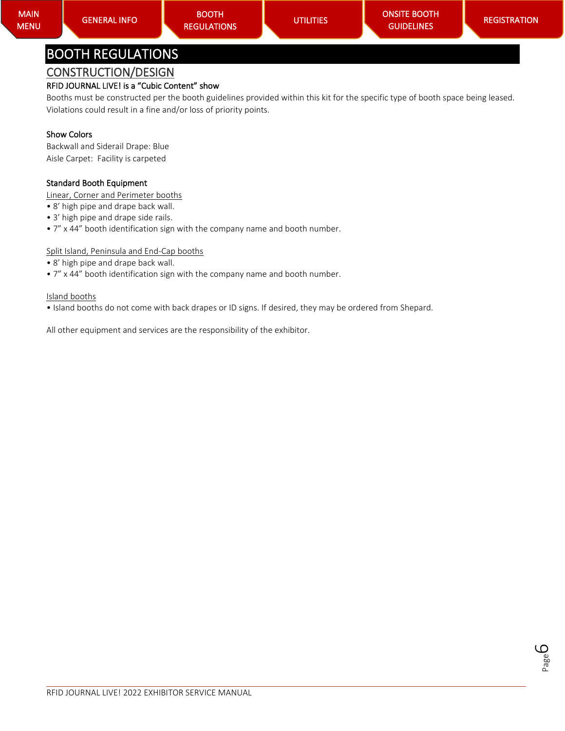#### <span id="page-5-1"></span><span id="page-5-0"></span>RFID JOURNAL LIVE! is a "Cubic Content" show

Booths must be constructed per the booth guidelines provided within this kit for the specific type of booth space being leased. Violations could result in a fine and/or loss of priority points.

#### Show Colors

Backwall and Siderail Drape: Blue Aisle Carpet: Facility is carpeted

#### Standard Booth Equipment

Linear, Corner and Perimeter booths

- 8' high pipe and drape back wall.
- 3' high pipe and drape side rails.
- 7" x 44" booth identification sign with the company name and booth number.

#### Split Island, Peninsula and End-Cap booths

- 8' high pipe and drape back wall.
- 7" x 44" booth identification sign with the company name and booth number.

#### Island booths

• Island booths do not come with back drapes or ID signs. If desired, they may be ordered from Shepard.

All other equipment and services are the responsibility of the exhibitor.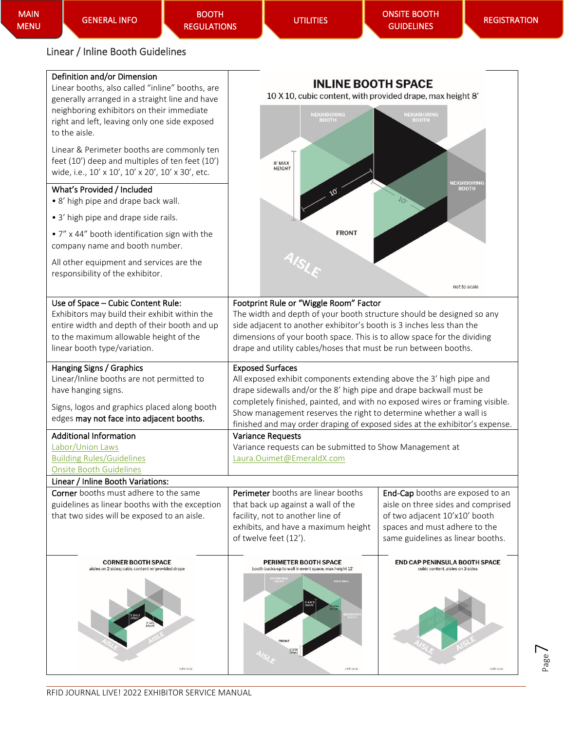BOOTH [REGULATIONS](#page-5-0) 

Page  $\overline{\phantom{1}}$ 

## <span id="page-6-0"></span>Linear / Inline Booth Guidelines

| Definition and/or Dimension<br>Linear booths, also called "inline" booths, are<br>generally arranged in a straight line and have<br>neighboring exhibitors on their immediate<br>right and left, leaving only one side exposed<br>to the aisle.<br>Linear & Perimeter booths are commonly ten | <b>INLINE BOOTH SPACE</b><br>10 X 10, cubic content, with provided drape, max height 8'<br><b>NEIGHBORING</b><br><b>BOOTH</b>                                                                                                                                                                                                                                                                           | NEIGHBORING<br><b>BOOTH</b>                                                                                                                                                   |  |
|-----------------------------------------------------------------------------------------------------------------------------------------------------------------------------------------------------------------------------------------------------------------------------------------------|---------------------------------------------------------------------------------------------------------------------------------------------------------------------------------------------------------------------------------------------------------------------------------------------------------------------------------------------------------------------------------------------------------|-------------------------------------------------------------------------------------------------------------------------------------------------------------------------------|--|
| feet (10') deep and multiples of ten feet (10')<br>wide, i.e., 10' x 10', 10' x 20', 10' x 30', etc.<br>What's Provided / Included                                                                                                                                                            | 8' MAX<br><b>HEIGHT</b>                                                                                                                                                                                                                                                                                                                                                                                 | NEIGHBORINC<br><b>BOOTH</b>                                                                                                                                                   |  |
| • 8' high pipe and drape back wall.                                                                                                                                                                                                                                                           |                                                                                                                                                                                                                                                                                                                                                                                                         | $\iota_O$                                                                                                                                                                     |  |
| • 3' high pipe and drape side rails.<br>• 7" x 44" booth identification sign with the<br>company name and booth number.                                                                                                                                                                       | <b>FRONT</b>                                                                                                                                                                                                                                                                                                                                                                                            |                                                                                                                                                                               |  |
| All other equipment and services are the<br>responsibility of the exhibitor.                                                                                                                                                                                                                  |                                                                                                                                                                                                                                                                                                                                                                                                         | not to scale                                                                                                                                                                  |  |
| Use of Space - Cubic Content Rule:<br>Exhibitors may build their exhibit within the<br>entire width and depth of their booth and up<br>to the maximum allowable height of the<br>linear booth type/variation.                                                                                 | Footprint Rule or "Wiggle Room" Factor<br>The width and depth of your booth structure should be designed so any<br>side adjacent to another exhibitor's booth is 3 inches less than the<br>dimensions of your booth space. This is to allow space for the dividing<br>drape and utility cables/hoses that must be run between booths.                                                                   |                                                                                                                                                                               |  |
| Hanging Signs / Graphics<br>Linear/Inline booths are not permitted to<br>have hanging signs.<br>Signs, logos and graphics placed along booth<br>edges may not face into adjacent booths.                                                                                                      | <b>Exposed Surfaces</b><br>All exposed exhibit components extending above the 3' high pipe and<br>drape sidewalls and/or the 8' high pipe and drape backwall must be<br>completely finished, painted, and with no exposed wires or framing visible.<br>Show management reserves the right to determine whether a wall is<br>finished and may order draping of exposed sides at the exhibitor's expense. |                                                                                                                                                                               |  |
| <b>Additional Information</b><br>Labor/Union Laws<br><b>Building Rules/Guidelines</b><br><b>Onsite Booth Guidelines</b>                                                                                                                                                                       | <b>Variance Requests</b><br>Variance requests can be submitted to Show Management at<br>Laura.Ouimet@EmeraldX.com                                                                                                                                                                                                                                                                                       |                                                                                                                                                                               |  |
| Linear / Inline Booth Variations:                                                                                                                                                                                                                                                             |                                                                                                                                                                                                                                                                                                                                                                                                         |                                                                                                                                                                               |  |
| <b>Corner</b> booths must adhere to the same<br>guidelines as linear booths with the exception<br>that two sides will be exposed to an aisle.                                                                                                                                                 | Perimeter booths are linear booths<br>that back up against a wall of the<br>facility, not to another line of<br>exhibits, and have a maximum height<br>of twelve feet (12').                                                                                                                                                                                                                            | End-Cap booths are exposed to an<br>aisle on three sides and comprised<br>of two adjacent 10'x10' booth<br>spaces and must adhere to the<br>same guidelines as linear booths. |  |
| <b>CORNER BOOTH SPACE</b><br>aisles on 2 sides; cubic content w/ provided drape                                                                                                                                                                                                               | PERIMETER BOOTH SPACE<br>booth backs up to wall in event space, max height 12'<br><b>RACK WALL</b><br>FRONT<br>3' SIDE<br>DRAPE                                                                                                                                                                                                                                                                         | END CAP PENINSULA BOOTH SPACE<br>cubic content, aisles on 3 sides<br>rol lo scai                                                                                              |  |
| rei foscali                                                                                                                                                                                                                                                                                   | col fo scale                                                                                                                                                                                                                                                                                                                                                                                            |                                                                                                                                                                               |  |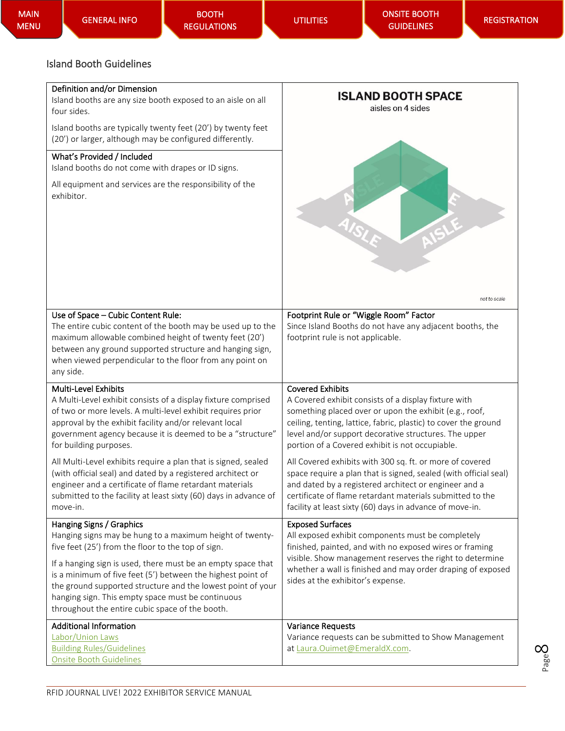#### <span id="page-7-0"></span>Island Booth Guidelines

#### Definition and/or Dimension

Island booths are any size booth exposed to an aisle on all four sides.

Island booths are typically twenty feet (20') by twenty feet (20') or larger, although may be configured differently.

#### What's Provided / Included

Island booths do not come with drapes or ID signs.

All equipment and services are the responsibility of the exhibitor.



| Use of Space - Cubic Content Rule:<br>The entire cubic content of the booth may be used up to the<br>maximum allowable combined height of twenty feet (20')<br>between any ground supported structure and hanging sign,<br>when viewed perpendicular to the floor from any point on<br>any side.                                                                                                                                                 | Footprint Rule or "Wiggle Room" Factor<br>Since Island Booths do not have any adjacent booths, the<br>footprint rule is not applicable.                                                                                                                                                                                  |
|--------------------------------------------------------------------------------------------------------------------------------------------------------------------------------------------------------------------------------------------------------------------------------------------------------------------------------------------------------------------------------------------------------------------------------------------------|--------------------------------------------------------------------------------------------------------------------------------------------------------------------------------------------------------------------------------------------------------------------------------------------------------------------------|
| <b>Multi-Level Exhibits</b><br>A Multi-Level exhibit consists of a display fixture comprised<br>of two or more levels. A multi-level exhibit requires prior<br>approval by the exhibit facility and/or relevant local<br>government agency because it is deemed to be a "structure"<br>for building purposes.                                                                                                                                    | <b>Covered Exhibits</b><br>A Covered exhibit consists of a display fixture with<br>something placed over or upon the exhibit (e.g., roof,<br>ceiling, tenting, lattice, fabric, plastic) to cover the ground<br>level and/or support decorative structures. The upper<br>portion of a Covered exhibit is not occupiable. |
| All Multi-Level exhibits require a plan that is signed, sealed<br>(with official seal) and dated by a registered architect or<br>engineer and a certificate of flame retardant materials<br>submitted to the facility at least sixty (60) days in advance of<br>move-in.                                                                                                                                                                         | All Covered exhibits with 300 sq. ft. or more of covered<br>space require a plan that is signed, sealed (with official seal)<br>and dated by a registered architect or engineer and a<br>certificate of flame retardant materials submitted to the<br>facility at least sixty (60) days in advance of move-in.           |
| Hanging Signs / Graphics<br>Hanging signs may be hung to a maximum height of twenty-<br>five feet (25') from the floor to the top of sign.<br>If a hanging sign is used, there must be an empty space that<br>is a minimum of five feet (5') between the highest point of<br>the ground supported structure and the lowest point of your<br>hanging sign. This empty space must be continuous<br>throughout the entire cubic space of the booth. | <b>Exposed Surfaces</b><br>All exposed exhibit components must be completely<br>finished, painted, and with no exposed wires or framing<br>visible. Show management reserves the right to determine<br>whether a wall is finished and may order draping of exposed<br>sides at the exhibitor's expense.                  |
| <b>Additional Information</b><br>Labor/Union Laws<br><b>Building Rules/Guidelines</b><br><b>Onsite Booth Guidelines</b>                                                                                                                                                                                                                                                                                                                          | <b>Variance Requests</b><br>Variance requests can be submitted to Show Management<br>at Laura.Ouimet@EmeraldX.com.                                                                                                                                                                                                       |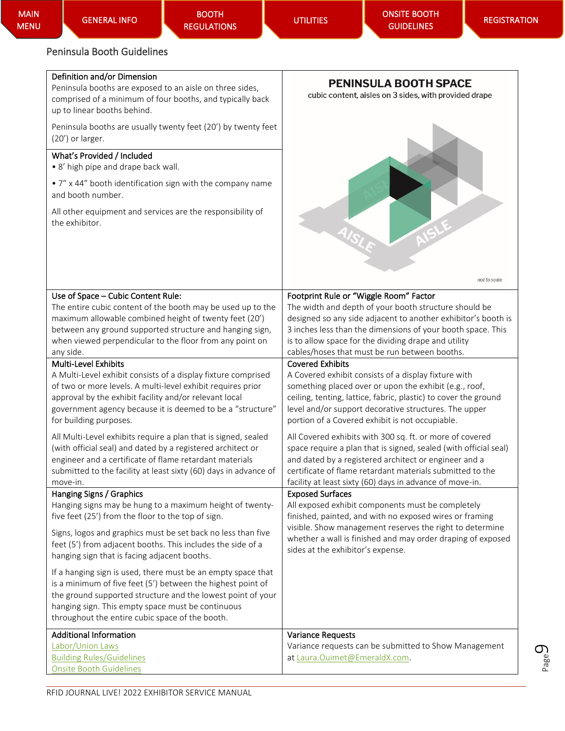### <span id="page-8-0"></span>Peninsula Booth Guidelines

#### Definition and/or Dimension

Peninsula booths are exposed to an aisle on three sides, comprised of a minimum of four booths, and typically back up to linear booths behind.

Peninsula booths are usually twenty feet (20') by twenty feet (20') or larger.

#### What's Provided / Included

• 8' high pipe and drape back wall.

• 7" x 44" booth identification sign with the company name and booth number.

All other equipment and services are the responsibility of the exhibitor.



| Use of Space - Cubic Content Rule:                                                                                                                                                                                                                                                                 | Footprint Rule or "Wiggle Room" Factor                                                                                                                                                                                                                                                                         |
|----------------------------------------------------------------------------------------------------------------------------------------------------------------------------------------------------------------------------------------------------------------------------------------------------|----------------------------------------------------------------------------------------------------------------------------------------------------------------------------------------------------------------------------------------------------------------------------------------------------------------|
| The entire cubic content of the booth may be used up to the                                                                                                                                                                                                                                        | The width and depth of your booth structure should be                                                                                                                                                                                                                                                          |
| maximum allowable combined height of twenty feet (20')                                                                                                                                                                                                                                             | designed so any side adjacent to another exhibitor's booth is                                                                                                                                                                                                                                                  |
| between any ground supported structure and hanging sign,                                                                                                                                                                                                                                           | 3 inches less than the dimensions of your booth space. This                                                                                                                                                                                                                                                    |
| when viewed perpendicular to the floor from any point on                                                                                                                                                                                                                                           | is to allow space for the dividing drape and utility                                                                                                                                                                                                                                                           |
| any side.                                                                                                                                                                                                                                                                                          | cables/hoses that must be run between booths.                                                                                                                                                                                                                                                                  |
| <b>Multi-Level Exhibits</b>                                                                                                                                                                                                                                                                        | <b>Covered Exhibits</b>                                                                                                                                                                                                                                                                                        |
| A Multi-Level exhibit consists of a display fixture comprised                                                                                                                                                                                                                                      | A Covered exhibit consists of a display fixture with                                                                                                                                                                                                                                                           |
| of two or more levels. A multi-level exhibit requires prior                                                                                                                                                                                                                                        | something placed over or upon the exhibit (e.g., roof,                                                                                                                                                                                                                                                         |
| approval by the exhibit facility and/or relevant local                                                                                                                                                                                                                                             | ceiling, tenting, lattice, fabric, plastic) to cover the ground                                                                                                                                                                                                                                                |
| government agency because it is deemed to be a "structure"                                                                                                                                                                                                                                         | level and/or support decorative structures. The upper                                                                                                                                                                                                                                                          |
| for building purposes.                                                                                                                                                                                                                                                                             | portion of a Covered exhibit is not occupiable.                                                                                                                                                                                                                                                                |
| All Multi-Level exhibits require a plan that is signed, sealed<br>(with official seal) and dated by a registered architect or<br>engineer and a certificate of flame retardant materials<br>submitted to the facility at least sixty (60) days in advance of<br>move-in.                           | All Covered exhibits with 300 sq. ft. or more of covered<br>space require a plan that is signed, sealed (with official seal)<br>and dated by a registered architect or engineer and a<br>certificate of flame retardant materials submitted to the<br>facility at least sixty (60) days in advance of move-in. |
| Hanging Signs / Graphics                                                                                                                                                                                                                                                                           | <b>Exposed Surfaces</b>                                                                                                                                                                                                                                                                                        |
| Hanging signs may be hung to a maximum height of twenty-                                                                                                                                                                                                                                           | All exposed exhibit components must be completely                                                                                                                                                                                                                                                              |
| five feet (25') from the floor to the top of sign.                                                                                                                                                                                                                                                 | finished, painted, and with no exposed wires or framing                                                                                                                                                                                                                                                        |
| Signs, logos and graphics must be set back no less than five<br>feet (5') from adjacent booths. This includes the side of a<br>hanging sign that is facing adjacent booths.                                                                                                                        | visible. Show management reserves the right to determine<br>whether a wall is finished and may order draping of exposed<br>sides at the exhibitor's expense.                                                                                                                                                   |
| If a hanging sign is used, there must be an empty space that<br>is a minimum of five feet (5') between the highest point of<br>the ground supported structure and the lowest point of your<br>hanging sign. This empty space must be continuous<br>throughout the entire cubic space of the booth. |                                                                                                                                                                                                                                                                                                                |
| <b>Additional Information</b>                                                                                                                                                                                                                                                                      | <b>Variance Requests</b>                                                                                                                                                                                                                                                                                       |
| Labor/Union Laws                                                                                                                                                                                                                                                                                   | Variance requests can be submitted to Show Management                                                                                                                                                                                                                                                          |
| <b>Building Rules/Guidelines</b>                                                                                                                                                                                                                                                                   | at Laura.Ouimet@EmeraldX.com.                                                                                                                                                                                                                                                                                  |

[Onsite Booth Guidelines](#page-5-0)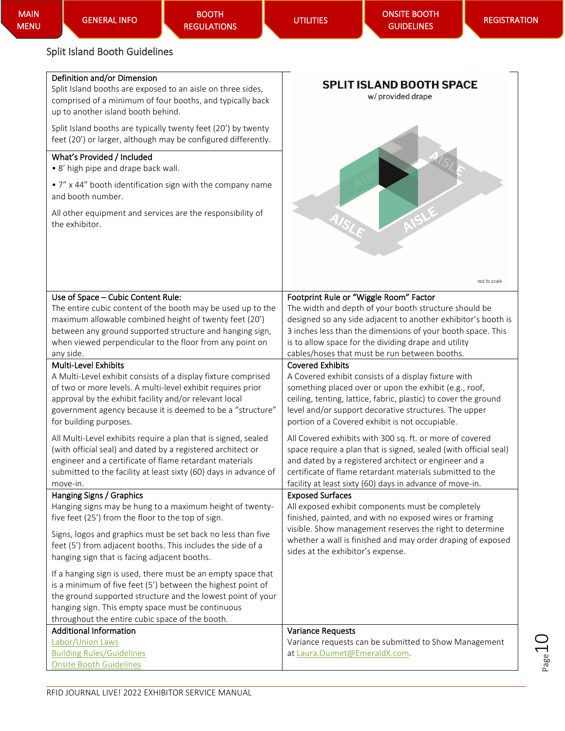#### <span id="page-9-0"></span>Split Island Booth Guidelines

|  |  | Definition and/or Dimension |
|--|--|-----------------------------|
|--|--|-----------------------------|

Split Island booths are exposed to an aisle on three sides, comprised of a minimum of four booths, and typically back up to another island booth behind.

Split Island booths are typically twenty feet (20') by twenty feet (20') or larger, although may be configured differently.

#### What's Provided / Included

• 8' high pipe and drape back wall.

• 7" x 44" booth identification sign with the company name and booth number.

All other equipment and services are the responsibility of the exhibitor.



| Use of Space - Cubic Content Rule:                               | Footprint Rule or "Wiggle Room" Factor                           |
|------------------------------------------------------------------|------------------------------------------------------------------|
| The entire cubic content of the booth may be used up to the      | The width and depth of your booth structure should be            |
| maximum allowable combined height of twenty feet (20')           | designed so any side adjacent to another exhibitor's booth is    |
| between any ground supported structure and hanging sign,         | 3 inches less than the dimensions of your booth space. This      |
| when viewed perpendicular to the floor from any point on         | is to allow space for the dividing drape and utility             |
| any side.                                                        | cables/hoses that must be run between booths.                    |
| <b>Multi-Level Exhibits</b>                                      | <b>Covered Exhibits</b>                                          |
| A Multi-Level exhibit consists of a display fixture comprised    | A Covered exhibit consists of a display fixture with             |
| of two or more levels. A multi-level exhibit requires prior      | something placed over or upon the exhibit (e.g., roof,           |
| approval by the exhibit facility and/or relevant local           | ceiling, tenting, lattice, fabric, plastic) to cover the ground  |
| government agency because it is deemed to be a "structure"       | level and/or support decorative structures. The upper            |
| for building purposes.                                           | portion of a Covered exhibit is not occupiable.                  |
| All Multi-Level exhibits require a plan that is signed, sealed   | All Covered exhibits with 300 sq. ft. or more of covered         |
| (with official seal) and dated by a registered architect or      | space require a plan that is signed, sealed (with official seal) |
| engineer and a certificate of flame retardant materials          | and dated by a registered architect or engineer and a            |
| submitted to the facility at least sixty (60) days in advance of | certificate of flame retardant materials submitted to the        |
| move-in.                                                         | facility at least sixty (60) days in advance of move-in.         |
| Hanging Signs / Graphics                                         | <b>Exposed Surfaces</b>                                          |
| Hanging signs may be hung to a maximum height of twenty-         | All exposed exhibit components must be completely                |
| five feet (25') from the floor to the top of sign.               | finished, painted, and with no exposed wires or framing          |
| Signs, logos and graphics must be set back no less than five     | visible. Show management reserves the right to determine         |
| feet (5') from adjacent booths. This includes the side of a      | whether a wall is finished and may order draping of exposed      |
| hanging sign that is facing adjacent booths.                     | sides at the exhibitor's expense.                                |
|                                                                  |                                                                  |
| If a hanging sign is used, there must be an empty space that     |                                                                  |
| is a minimum of five feet (5') between the highest point of      |                                                                  |
| the ground supported structure and the lowest point of your      |                                                                  |
| hanging sign. This empty space must be continuous                |                                                                  |
| throughout the entire cubic space of the booth.                  |                                                                  |
| <b>Additional Information</b>                                    | <b>Variance Requests</b>                                         |
| Labor/Union Laws                                                 | Variance requests can be submitted to Show Management            |
| <b>Building Rules/Guidelines</b>                                 | at Laura.Ouimet@EmeraldX.com.                                    |
| <b>Onsite Booth Guidelines</b>                                   |                                                                  |

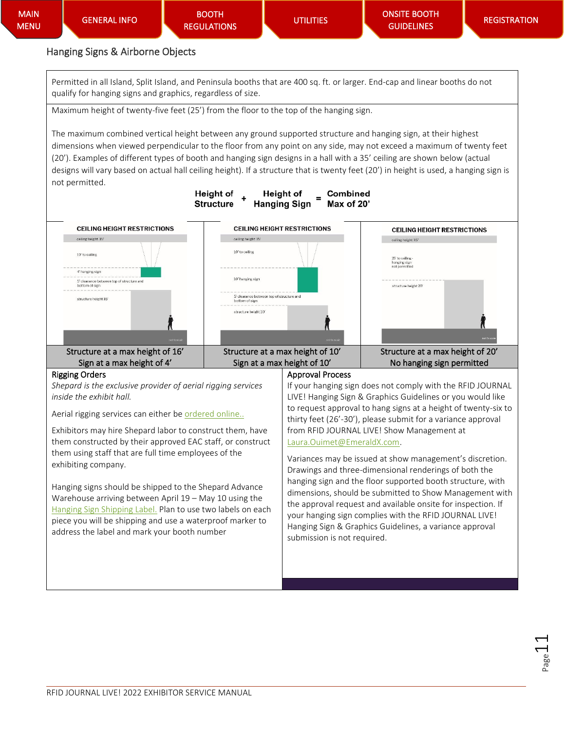### <span id="page-10-0"></span>Hanging Signs & Airborne Objects

Permitted in all Island, Split Island, and Peninsula booths that are 400 sq. ft. or larger. End-cap and linear booths do not qualify for hanging signs and graphics, regardless of size.

Maximum height of twenty-five feet (25') from the floor to the top of the hanging sign.

The maximum combined vertical height between any ground supported structure and hanging sign, at their highest dimensions when viewed perpendicular to the floor from any point on any side, may not exceed a maximum of twenty feet (20'). Examples of different types of booth and hanging sign designs in a hall with a 35' ceiling are shown below (actual designs will vary based on actual hall ceiling height). If a structure that is twenty feet (20') in height is used, a hanging sign is not permitted.



Variances may be issued at show management's discretion. Drawings and three-dimensional renderings of both the hanging sign and the floor supported booth structure, with dimensions, should be submitted to Show Management with the approval request and available onsite for inspection. If your hanging sign complies with the RFID JOURNAL LIVE! Hanging Sign & Graphics Guidelines, a variance approval submission is not required.

Hanging signs should be shipped to the Shepard Advance Warehouse arriving between April 19 – May 10 using the [Hanging Sign Shipping Label.](https://rfidjournallive.com/wp-content/uploads/2022/02/RFID22-Hanging-Sign-Shipping-Label.pdf) Plan to use two labels on each piece you will be shipping and use a waterproof marker to

address the label and mark your booth number

exhibiting company.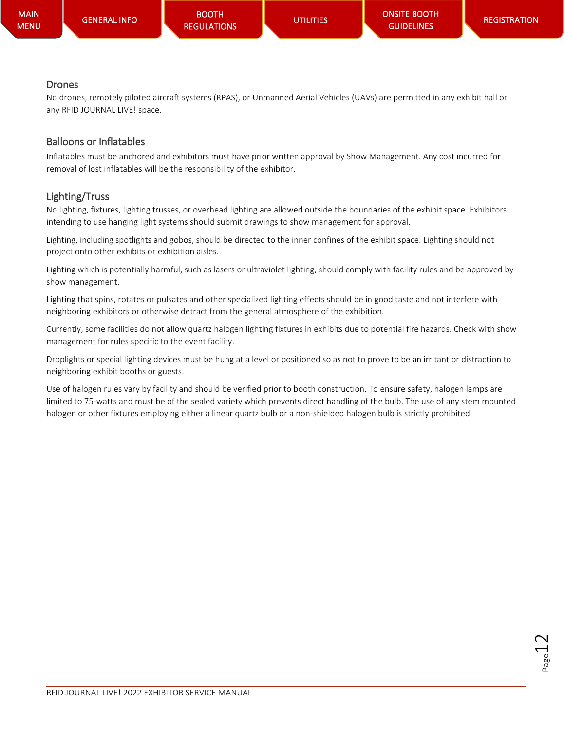#### **Drones**

No drones, remotely piloted aircraft systems (RPAS), or Unmanned Aerial Vehicles (UAVs) are permitted in any exhibit hall or any RFID JOURNAL LIVE! space.

### Balloons or Inflatables

Inflatables must be anchored and exhibitors must have prior written approval by Show Management. Any cost incurred for removal of lost inflatables will be the responsibility of the exhibitor.

### Lighting/Truss

No lighting, fixtures, lighting trusses, or overhead lighting are allowed outside the boundaries of the exhibit space. Exhibitors intending to use hanging light systems should submit drawings to show management for approval.

Lighting, including spotlights and gobos, should be directed to the inner confines of the exhibit space. Lighting should not project onto other exhibits or exhibition aisles.

Lighting which is potentially harmful, such as lasers or ultraviolet lighting, should comply with facility rules and be approved by show management.

Lighting that spins, rotates or pulsates and other specialized lighting effects should be in good taste and not interfere with neighboring exhibitors or otherwise detract from the general atmosphere of the exhibition.

Currently, some facilities do not allow quartz halogen lighting fixtures in exhibits due to potential fire hazards. Check with show management for rules specific to the event facility.

Droplights or special lighting devices must be hung at a level or positioned so as not to prove to be an irritant or distraction to neighboring exhibit booths or guests.

Use of halogen rules vary by facility and should be verified prior to booth construction. To ensure safety, halogen lamps are limited to 75-watts and must be of the sealed variety which prevents direct handling of the bulb. The use of any stem mounted halogen or other fixtures employing either a linear quartz bulb or a non-shielded halogen bulb is strictly prohibited.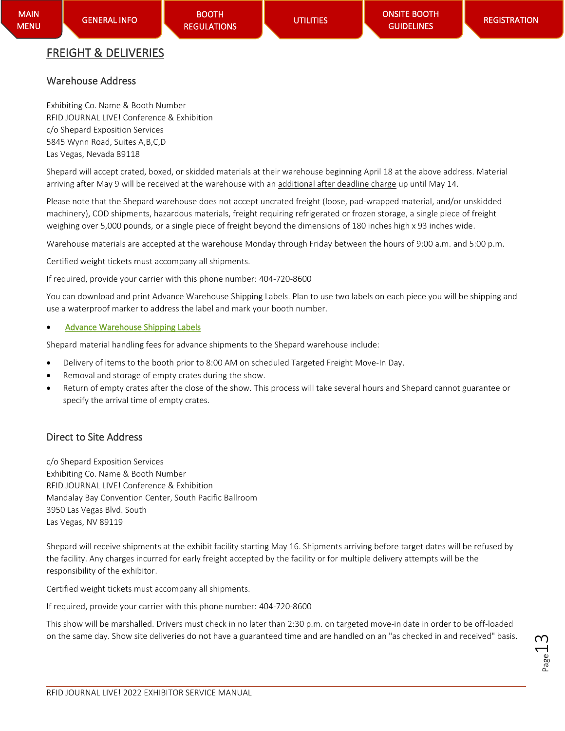# <span id="page-12-0"></span>FREIGHT & DELIVERIES

### <span id="page-12-1"></span>Warehouse Address

Exhibiting Co. Name & Booth Number RFID JOURNAL LIVE! Conference & Exhibition c/o Shepard Exposition Services 5845 Wynn Road, Suites A,B,C,D Las Vegas, Nevada 89118

Shepard will accept crated, boxed, or skidded materials at their warehouse beginning April 18 at the above address. Material arriving after May 9 will be received at the warehouse with an additional after deadline charge up until May 14.

Please note that the Shepard warehouse does not accept uncrated freight (loose, pad-wrapped material, and/or unskidded machinery), COD shipments, hazardous materials, freight requiring refrigerated or frozen storage, a single piece of freight weighing over 5,000 pounds, or a single piece of freight beyond the dimensions of 180 inches high x 93 inches wide.

Warehouse materials are accepted at the warehouse Monday through Friday between the hours of 9:00 a.m. and 5:00 p.m.

Certified weight tickets must accompany all shipments.

If required, provide your carrier with this phone number: 404-720-8600

You can download and print Advance Warehouse Shipping Labels. Plan to use two labels on each piece you will be shipping and use a waterproof marker to address the label and mark your booth number.

### • [Advance Warehouse Shipping Labels](https://rfidjournallive.com/wp-content/uploads/2022/02/RFID22-Advance-Warehouse-Shipping-Labels.pdf)

Shepard material handling fees for advance shipments to the Shepard warehouse include:

- Delivery of items to the booth prior to 8:00 AM on scheduled Targeted Freight Move-In Day.
- Removal and storage of empty crates during the show.
- Return of empty crates after the close of the show. This process will take several hours and Shepard cannot guarantee or specify the arrival time of empty crates.

### <span id="page-12-2"></span>Direct to Site Address

c/o Shepard Exposition Services Exhibiting Co. Name & Booth Number RFID JOURNAL LIVE! Conference & Exhibition Mandalay Bay Convention Center, South Pacific Ballroom 3950 Las Vegas Blvd. South Las Vegas, NV 89119

Shepard will receive shipments at the exhibit facility starting May 16. Shipments arriving before target dates will be refused by the facility. Any charges incurred for early freight accepted by the facility or for multiple delivery attempts will be the responsibility of the exhibitor.

Certified weight tickets must accompany all shipments.

If required, provide your carrier with this phone number: 404-720-8600

This show will be marshalled. Drivers must check in no later than 2:30 p.m. on targeted move-in date in order to be off-loaded on the same day. Show site deliveries do not have a guaranteed time and are handled on an "as checked in and received" basis.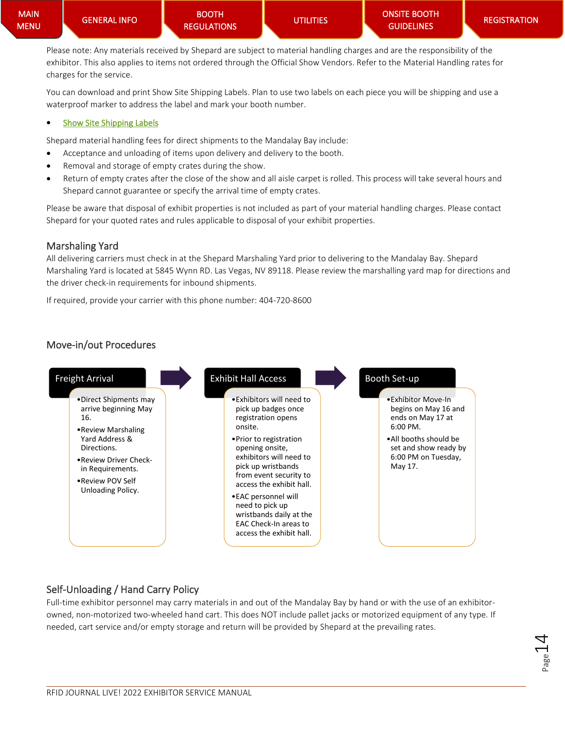Please note: Any materials received by Shepard are subject to material handling charges and are the responsibility of the exhibitor. This also applies to items not ordered through the Official Show Vendors. Refer to the Material Handling rates for charges for the service.

You can download and print Show Site Shipping Labels. Plan to use two labels on each piece you will be shipping and use a waterproof marker to address the label and mark your booth number.

#### • [Show Site Shipping Labels](https://rfidjournallive.com/wp-content/uploads/2022/02/RFID_UPDATED_SHIPPING_LABEL.pdf)

[GENERAL INFO](#page-0-0) 

Shepard material handling fees for direct shipments to the Mandalay Bay include:

- Acceptance and unloading of items upon delivery and delivery to the booth.
- Removal and storage of empty crates during the show.
- Return of empty crates after the close of the show and all aisle carpet is rolled. This process will take several hours and Shepard cannot guarantee or specify the arrival time of empty crates.

Please be aware that disposal of exhibit properties is not included as part of your material handling charges. Please contact Shepard for your quoted rates and rules applicable to disposal of your exhibit properties.

#### <span id="page-13-0"></span>Marshaling Yard

All delivering carriers must check in at the Shepard Marshaling Yard prior to delivering to the Mandalay Bay. Shepard Marshaling Yard is located at 5845 Wynn RD. Las Vegas, NV 89118. Please review the marshalling yard map for directions and the driver check-in requirements for inbound shipments.

If required, provide your carrier with this phone number: 404-720-8600

### <span id="page-13-1"></span>Move-in/out Procedures



### Self-Unloading / Hand Carry Policy

Full-time exhibitor personnel may carry materials in and out of the Mandalay Bay by hand or with the use of an exhibitorowned, non-motorized two-wheeled hand cart. This does NOT include pallet jacks or motorized equipment of any type. If needed, cart service and/or empty storage and return will be provided by Shepard at the prevailing rates.

$$
P_{\text{age}}14
$$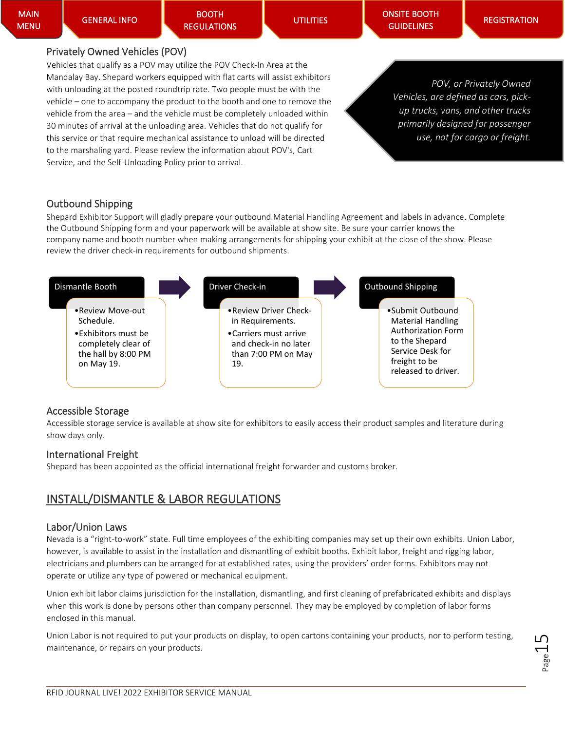BOOTH [REGULATIONS](#page-5-0) 

**UTILITIES** 

[ONSITE BOOTH](#page-18-3)  **GUIDELINES** 

#### Privately Owned Vehicles (POV)

Vehicles that qualify as a POV may utilize the POV Check-In Area at the Mandalay Bay. Shepard workers equipped with flat carts will assist exhibitors with unloading at the posted roundtrip rate. Two people must be with the vehicle – one to accompany the product to the booth and one to remove the vehicle from the area – and the vehicle must be completely unloaded within 30 minutes of arrival at the unloading area. Vehicles that do not qualify for this service or that require mechanical assistance to unload will be directed to the marshaling yard. Please review the information about POV's, Cart Service, and the Self-Unloading Policy prior to arrival.

*POV, or Privately Owned Vehicles, are defined as cars, pickup trucks, vans, and other trucks primarily designed for passenger use, not for cargo or freight.*

### Outbound Shipping

Shepard Exhibitor Support will gladly prepare your outbound Material Handling Agreement and labels in advance. Complete the Outbound Shipping form and your paperwork will be available at show site. Be sure your carrier knows the company name and booth number when making arrangements for shipping your exhibit at the close of the show. Please review the driver check-in requirements for outbound shipments.



#### <span id="page-14-0"></span>Accessible Storage

Accessible storage service is available at show site for exhibitors to easily access their product samples and literature during show days only.

#### <span id="page-14-1"></span>International Freight

Shepard has been appointed as the official international freight forwarder and customs broker.

# <span id="page-14-2"></span>INSTALL/DISMANTLE & LABOR REGULATIONS

#### <span id="page-14-3"></span>Labor/Union Laws

Nevada is a "right-to-work" state. Full time employees of the exhibiting companies may set up their own exhibits. Union Labor, however, is available to assist in the installation and dismantling of exhibit booths. Exhibit labor, freight and rigging labor, electricians and plumbers can be arranged for at established rates, using the providers' order forms. Exhibitors may not operate or utilize any type of powered or mechanical equipment.

Union exhibit labor claims jurisdiction for the installation, dismantling, and first cleaning of prefabricated exhibits and displays when this work is done by persons other than company personnel. They may be employed by completion of labor forms enclosed in this manual.

Union Labor is not required to put your products on display, to open cartons containing your products, nor to perform testing, maintenance, or repairs on your products.

Page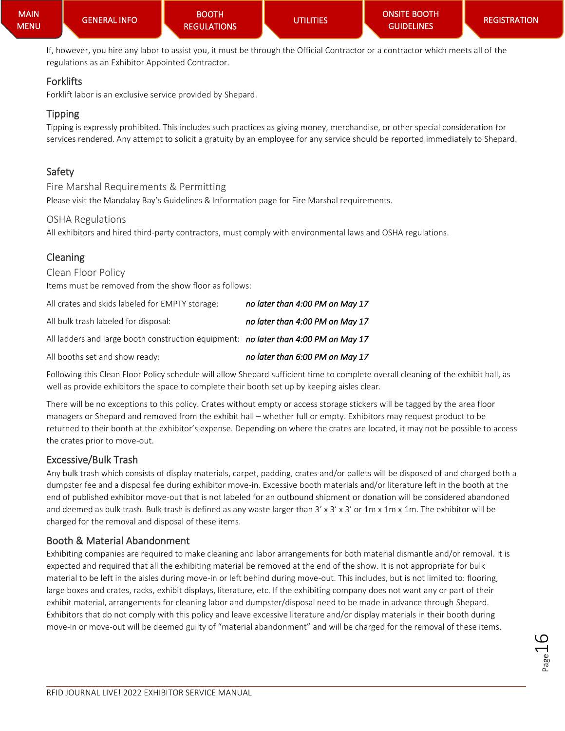If, however, you hire any labor to assist you, it must be through the Official Contractor or a contractor which meets all of the regulations as an Exhibitor Appointed Contractor.

### Forklifts

Forklift labor is an exclusive service provided by Shepard.

### Tipping

Tipping is expressly prohibited. This includes such practices as giving money, merchandise, or other special consideration for services rendered. Any attempt to solicit a gratuity by an employee for any service should be reported immediately to Shepard.

### <span id="page-15-0"></span>Safety

Fire Marshal Requirements & Permitting Please visit the Mandalay Bay's Guidelines & Information page for Fire Marshal requirements.

#### OSHA Regulations

All exhibitors and hired third-party contractors, must comply with environmental laws and OSHA regulations.

### <span id="page-15-1"></span>Cleaning

Clean Floor Policy Items must be removed from the show floor as follows:

| All crates and skids labeled for EMPTY storage:                                     | no later than 4:00 PM on May 17 |
|-------------------------------------------------------------------------------------|---------------------------------|
| All bulk trash labeled for disposal:                                                | no later than 4:00 PM on May 17 |
| All ladders and large booth construction equipment: no later than 4:00 PM on May 17 |                                 |
| All booths set and show ready:                                                      | no later than 6:00 PM on May 17 |

Following this Clean Floor Policy schedule will allow Shepard sufficient time to complete overall cleaning of the exhibit hall, as well as provide exhibitors the space to complete their booth set up by keeping aisles clear.

There will be no exceptions to this policy. Crates without empty or access storage stickers will be tagged by the area floor managers or Shepard and removed from the exhibit hall – whether full or empty. Exhibitors may request product to be returned to their booth at the exhibitor's expense. Depending on where the crates are located, it may not be possible to access the crates prior to move-out.

### Excessive/Bulk Trash

Any bulk trash which consists of display materials, carpet, padding, crates and/or pallets will be disposed of and charged both a dumpster fee and a disposal fee during exhibitor move-in. Excessive booth materials and/or literature left in the booth at the end of published exhibitor move-out that is not labeled for an outbound shipment or donation will be considered abandoned and deemed as bulk trash. Bulk trash is defined as any waste larger than 3' x 3' x 3' or 1m x 1m x 1m. The exhibitor will be charged for the removal and disposal of these items.

### Booth & Material Abandonment

Exhibiting companies are required to make cleaning and labor arrangements for both material dismantle and/or removal. It is expected and required that all the exhibiting material be removed at the end of the show. It is not appropriate for bulk material to be left in the aisles during move-in or left behind during move-out. This includes, but is not limited to: flooring, large boxes and crates, racks, exhibit displays, literature, etc. If the exhibiting company does not want any or part of their exhibit material, arrangements for cleaning labor and dumpster/disposal need to be made in advance through Shepard. Exhibitors that do not comply with this policy and leave excessive literature and/or display materials in their booth during move-in or move-out will be deemed guilty of "material abandonment" and will be charged for the removal of these items.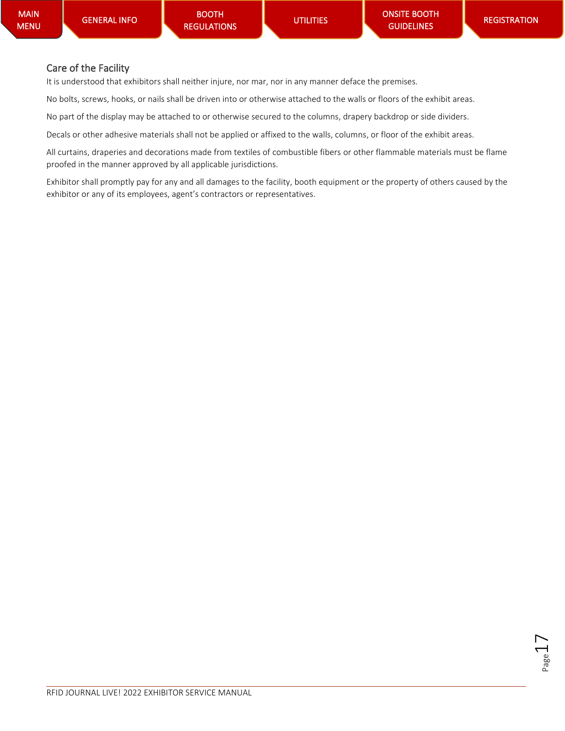### Care of the Facility

It is understood that exhibitors shall neither injure, nor mar, nor in any manner deface the premises.

No bolts, screws, hooks, or nails shall be driven into or otherwise attached to the walls or floors of the exhibit areas.

No part of the display may be attached to or otherwise secured to the columns, drapery backdrop or side dividers.

Decals or other adhesive materials shall not be applied or affixed to the walls, columns, or floor of the exhibit areas.

All curtains, draperies and decorations made from textiles of combustible fibers or other flammable materials must be flame proofed in the manner approved by all applicable jurisdictions.

Exhibitor shall promptly pay for any and all damages to the facility, booth equipment or the property of others caused by the exhibitor or any of its employees, agent's contractors or representatives.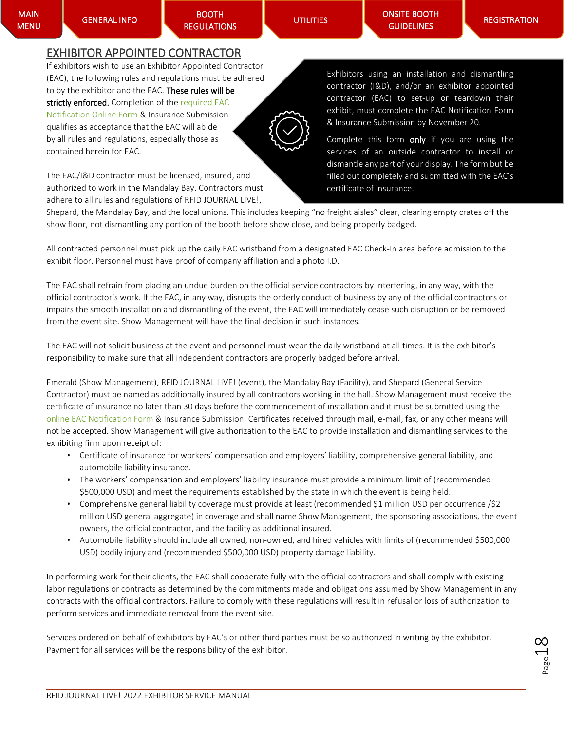[GENERAL INFO](#page-0-0) 

BOOTH [REGULATIONS](#page-5-0)  [ONSITE BOOTH](#page-18-3)  **GUIDELINES** 

### <span id="page-17-0"></span>EXHIBITOR APPOINTED CONTRACTOR

If exhibitors wish to use an Exhibitor Appointed Contractor (EAC), the following rules and regulations must be adhered to by the exhibitor and the EAC. These rules will be strictly enforced. Completion of the required EAC [Notification](https://rfid.a2zinc.net/Live2022/Public/e_exhibitorconsole.aspx?ID=35817&_ga=2.154866556.593133478.1643748309-148552191.1627307263) Online Form & Insurance Submission qualifies as acceptance that the EAC will abide by all rules and regulations, especially those as contained herein for EAC.

The EAC/I&D contractor must be licensed, insured, and authorized to work in the Mandalay Bay. Contractors must adhere to all rules and regulations of RFID JOURNAL LIVE!,

Exhibitors using an installation and dismantling contractor (I&D), and/or an exhibitor appointed contractor (EAC) to set-up or teardown their exhibit, must complete the EAC Notification Form & Insurance Submission by November 20.

Complete this form only if you are using the services of an outside contractor to install or dismantle any part of your display. The form but be filled out completely and submitted with the EAC's certificate of insurance.

Shepard, the Mandalay Bay, and the local unions. This includes keeping "no freight aisles" clear, clearing empty crates off the show floor, not dismantling any portion of the booth before show close, and being properly badged.

All contracted personnel must pick up the daily EAC wristband from a designated EAC Check-In area before admission to the exhibit floor. Personnel must have proof of company affiliation and a photo I.D.

The EAC shall refrain from placing an undue burden on the official service contractors by interfering, in any way, with the official contractor's work. If the EAC, in any way, disrupts the orderly conduct of business by any of the official contractors or impairs the smooth installation and dismantling of the event, the EAC will immediately cease such disruption or be removed from the event site. Show Management will have the final decision in such instances.

The EAC will not solicit business at the event and personnel must wear the daily wristband at all times. It is the exhibitor's responsibility to make sure that all independent contractors are properly badged before arrival.

Emerald (Show Management), RFID JOURNAL LIVE! (event), the Mandalay Bay (Facility), and Shepard (General Service Contractor) must be named as additionally insured by all contractors working in the hall. Show Management must receive the certificate of insurance no later than 30 days before the commencement of installation and it must be submitted using the [online EAC Notification Form](https://rfid.a2zinc.net/Live2022/Public/e_exhibitorconsole.aspx?ID=35817&_ga=2.154866556.593133478.1643748309-148552191.1627307263) & Insurance Submission. Certificates received through mail, e-mail, fax, or any other means will not be accepted. Show Management will give authorization to the EAC to provide installation and dismantling services to the exhibiting firm upon receipt of:

- Certificate of insurance for workers' compensation and employers' liability, comprehensive general liability, and automobile liability insurance.
- The workers' compensation and employers' liability insurance must provide a minimum limit of (recommended \$500,000 USD) and meet the requirements established by the state in which the event is being held.
- Comprehensive general liability coverage must provide at least (recommended \$1 million USD per occurrence /\$2 million USD general aggregate) in coverage and shall name Show Management, the sponsoring associations, the event owners, the official contractor, and the facility as additional insured.
- Automobile liability should include all owned, non-owned, and hired vehicles with limits of (recommended \$500,000 USD) bodily injury and (recommended \$500,000 USD) property damage liability.

In performing work for their clients, the EAC shall cooperate fully with the official contractors and shall comply with existing labor regulations or contracts as determined by the commitments made and obligations assumed by Show Management in any contracts with the official contractors. Failure to comply with these regulations will result in refusal or loss of authorization to perform services and immediate removal from the event site.

Services ordered on behalf of exhibitors by EAC's or other third parties must be so authorized in writing by the exhibitor. Payment for all services will be the responsibility of the exhibitor.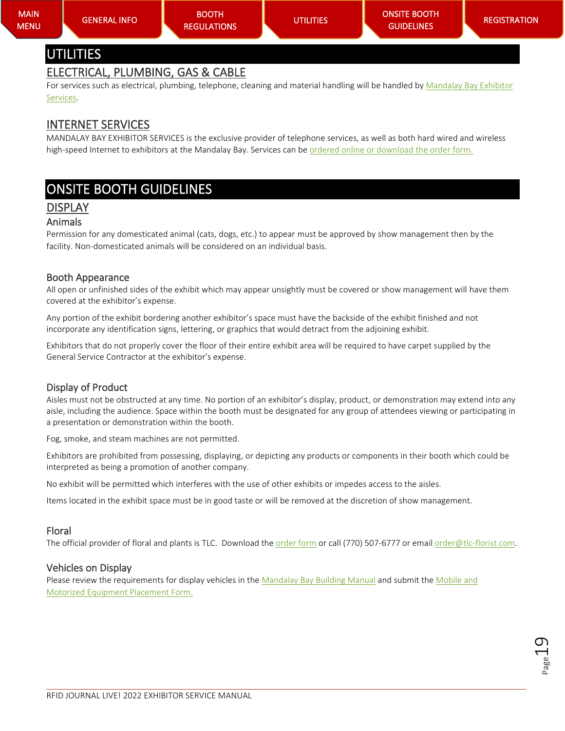### <span id="page-18-1"></span><span id="page-18-0"></span>ELECTRICAL, PLUMBING, GAS & CABLE

For services such as electrical, plumbing, telephone, cleaning and material handling will be handled by Mandalay Bay Exhibitor [Services.](https://rfidjournallive.com/wp-content/uploads/2022/02/MB-Flyer-RFID-2022-121321RM.pdf)

### <span id="page-18-2"></span>INTERNET SERVICES

MANDALAY BAY EXHIBITOR SERVICES is the exclusive provider of telephone services, as well as both hard wired and wireless high-speed Internet to exhibitors at the Mandalay Bay. Services can b[e ordered online or download the order form.](https://rfidjournallive.com/wp-content/uploads/2022/02/MB-Flyer-RFID-2022-121321RM.pdf)

# <span id="page-18-3"></span>ONSITE BOOTH GUIDELINES

# <span id="page-18-4"></span>DISPLAY

#### <span id="page-18-5"></span>Animals

Permission for any domesticated animal (cats, dogs, etc.) to appear must be approved by show management then by the facility. Non-domesticated animals will be considered on an individual basis.

#### <span id="page-18-6"></span>Booth Appearance

All open or unfinished sides of the exhibit which may appear unsightly must be covered or show management will have them covered at the exhibitor's expense.

Any portion of the exhibit bordering another exhibitor's space must have the backside of the exhibit finished and not incorporate any identification signs, lettering, or graphics that would detract from the adjoining exhibit.

Exhibitors that do not properly cover the floor of their entire exhibit area will be required to have carpet supplied by the General Service Contractor at the exhibitor's expense.

#### <span id="page-18-7"></span>Display of Product

Aisles must not be obstructed at any time. No portion of an exhibitor's display, product, or demonstration may extend into any aisle, including the audience. Space within the booth must be designated for any group of attendees viewing or participating in a presentation or demonstration within the booth.

Fog, smoke, and steam machines are not permitted.

Exhibitors are prohibited from possessing, displaying, or depicting any products or components in their booth which could be interpreted as being a promotion of another company.

No exhibit will be permitted which interferes with the use of other exhibits or impedes access to the aisles.

Items located in the exhibit space must be in good taste or will be removed at the discretion of show management.

#### <span id="page-18-8"></span>Floral

The official provider of floral and plants is TLC. Download the [order form](https://rfidjournallive.com/wp-content/uploads/2022/02/RFID-2022-Floral.pdf) or call (770) 507-6777 or email order@tlc-florist.com.

#### <span id="page-18-9"></span>Vehicles on Display

Please review the requirements for display vehicles in the Mandalay Bay [Building Manual](https://mandalaybay.mgmresorts.com/content/dam/MGM/mandalay-bay/meetings/documents/mandalay-bay-convention-center-policies-and-procedures.pdf) and submit the Mobile and [Motorized Equipment Placement Form.](https://www.shepardes.com/kit/2022/05_MAY/RFID/L115040522_RFIDp.pdf)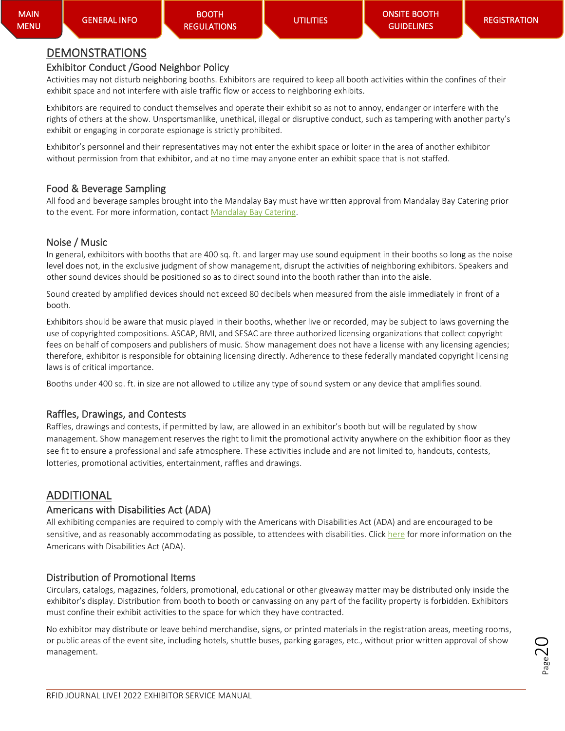# <span id="page-19-0"></span>DEMONSTRATIONS

### <span id="page-19-1"></span>Exhibitor Conduct /Good Neighbor Policy

Activities may not disturb neighboring booths. Exhibitors are required to keep all booth activities within the confines of their exhibit space and not interfere with aisle traffic flow or access to neighboring exhibits.

Exhibitors are required to conduct themselves and operate their exhibit so as not to annoy, endanger or interfere with the rights of others at the show. Unsportsmanlike, unethical, illegal or disruptive conduct, such as tampering with another party's exhibit or engaging in corporate espionage is strictly prohibited.

Exhibitor's personnel and their representatives may not enter the exhibit space or loiter in the area of another exhibitor without permission from that exhibitor, and at no time may anyone enter an exhibit space that is not staffed.

### <span id="page-19-2"></span>Food & Beverage Sampling

All food and beverage samples brought into the Mandalay Bay must have written approval from Mandalay Bay Catering prior to the event. For more information, contact [Mandalay Bay](mailto:https://www.mandalaybayexhibitorservices.com/Pages/Security/Login.aspx?ReturnUrl=%2f&subject=RFID%20Journal%20Live!%202022) Catering.

### <span id="page-19-3"></span>Noise / Music

In general, exhibitors with booths that are 400 sq. ft. and larger may use sound equipment in their booths so long as the noise level does not, in the exclusive judgment of show management, disrupt the activities of neighboring exhibitors. Speakers and other sound devices should be positioned so as to direct sound into the booth rather than into the aisle.

Sound created by amplified devices should not exceed 80 decibels when measured from the aisle immediately in front of a booth.

Exhibitors should be aware that music played in their booths, whether live or recorded, may be subject to laws governing the use of copyrighted compositions. ASCAP, BMI, and SESAC are three authorized licensing organizations that collect copyright fees on behalf of composers and publishers of music. Show management does not have a license with any licensing agencies; therefore, exhibitor is responsible for obtaining licensing directly. Adherence to these federally mandated copyright licensing laws is of critical importance.

Booths under 400 sq. ft. in size are not allowed to utilize any type of sound system or any device that amplifies sound.

### <span id="page-19-4"></span>Raffles, Drawings, and Contests

Raffles, drawings and contests, if permitted by law, are allowed in an exhibitor's booth but will be regulated by show management. Show management reserves the right to limit the promotional activity anywhere on the exhibition floor as they see fit to ensure a professional and safe atmosphere. These activities include and are not limited to, handouts, contests, lotteries, promotional activities, entertainment, raffles and drawings.

# <span id="page-19-5"></span>ADDITIONAL

### <span id="page-19-6"></span>Americans with Disabilities Act (ADA)

All exhibiting companies are required to comply with the Americans with Disabilities Act (ADA) and are encouraged to be sensitive, and as reasonably accommodating as possible, to attendees with disabilities. Clic[k here](https://www.ada.gov/) for more information on the Americans with Disabilities Act (ADA).

### <span id="page-19-7"></span>Distribution of Promotional Items

Circulars, catalogs, magazines, folders, promotional, educational or other giveaway matter may be distributed only inside the exhibitor's display. Distribution from booth to booth or canvassing on any part of the facility property is forbidden. Exhibitors must confine their exhibit activities to the space for which they have contracted.

No exhibitor may distribute or leave behind merchandise, signs, or printed materials in the registration areas, meeting rooms, or public areas of the event site, including hotels, shuttle buses, parking garages, etc., without prior written approval of show management.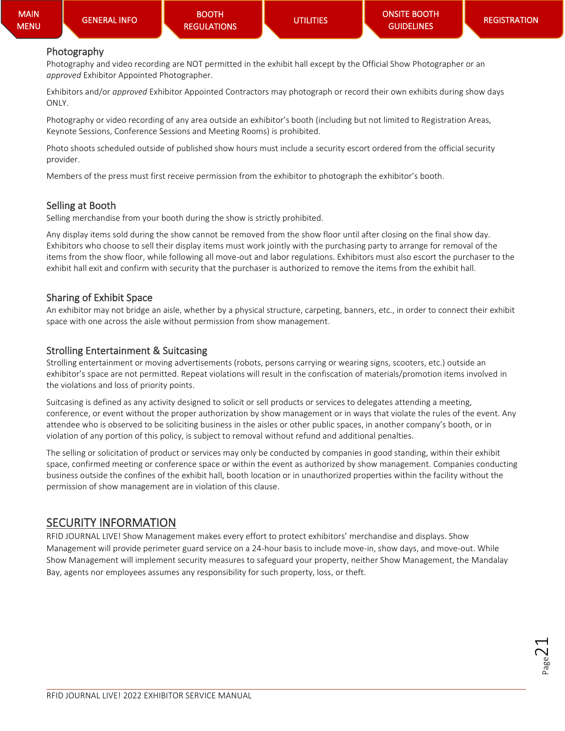**Page** 

### <span id="page-20-0"></span>Photography

Photography and video recording are NOT permitted in the exhibit hall except by the Official Show Photographer or an *approved* Exhibitor Appointed Photographer.

Exhibitors and/or *approved* Exhibitor Appointed Contractors may photograph or record their own exhibits during show days ONLY.

Photography or video recording of any area outside an exhibitor's booth (including but not limited to Registration Areas, Keynote Sessions, Conference Sessions and Meeting Rooms) is prohibited.

Photo shoots scheduled outside of published show hours must include a security escort ordered from the official security provider.

Members of the press must first receive permission from the exhibitor to photograph the exhibitor's booth.

#### <span id="page-20-1"></span>Selling at Booth

Selling merchandise from your booth during the show is strictly prohibited.

Any display items sold during the show cannot be removed from the show floor until after closing on the final show day. Exhibitors who choose to sell their display items must work jointly with the purchasing party to arrange for removal of the items from the show floor, while following all move-out and labor regulations. Exhibitors must also escort the purchaser to the exhibit hall exit and confirm with security that the purchaser is authorized to remove the items from the exhibit hall.

#### <span id="page-20-2"></span>Sharing of Exhibit Space

An exhibitor may not bridge an aisle, whether by a physical structure, carpeting, banners, etc., in order to connect their exhibit space with one across the aisle without permission from show management.

#### <span id="page-20-3"></span>Strolling Entertainment & Suitcasing

Strolling entertainment or moving advertisements (robots, persons carrying or wearing signs, scooters, etc.) outside an exhibitor's space are not permitted. Repeat violations will result in the confiscation of materials/promotion items involved in the violations and loss of priority points.

Suitcasing is defined as any activity designed to solicit or sell products or services to delegates attending a meeting, conference, or event without the proper authorization by show management or in ways that violate the rules of the event. Any attendee who is observed to be soliciting business in the aisles or other public spaces, in another company's booth, or in violation of any portion of this policy, is subject to removal without refund and additional penalties.

The selling or solicitation of product or services may only be conducted by companies in good standing, within their exhibit space, confirmed meeting or conference space or within the event as authorized by show management. Companies conducting business outside the confines of the exhibit hall, booth location or in unauthorized properties within the facility without the permission of show management are in violation of this clause.

### <span id="page-20-4"></span>SECURITY INFORMATION

RFID JOURNAL LIVE! Show Management makes every effort to protect exhibitors' merchandise and displays. Show Management will provide perimeter guard service on a 24-hour basis to include move-in, show days, and move-out. While Show Management will implement security measures to safeguard your property, neither Show Management, the Mandalay Bay, agents nor employees assumes any responsibility for such property, loss, or theft.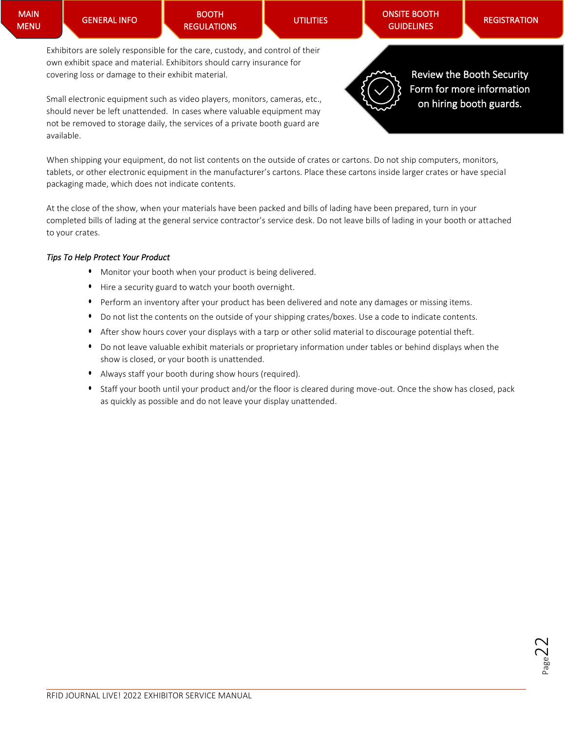[ONSITE BOOTH](#page-18-3)  **GUIDELINES** 

Exhibitors are solely responsible for the care, custody, and control of their own exhibit space and material. Exhibitors should carry insurance for covering loss or damage to their exhibit material.

Small electronic equipment such as video players, monitors, cameras, etc., should never be left unattended. In cases where valuable equipment may not be removed to storage daily, the services of a private booth guard are available.



[Review the Booth Security](https://rfidjournallive.com/wp-content/uploads/2022/02/RFID-LIVE-2022-Booth-Guard-Order-Form.pdf)  [Form for more information](https://rfidjournallive.com/wp-content/uploads/2022/02/RFID-LIVE-2022-Booth-Guard-Order-Form.pdf)  [on hiring booth guards.](https://rfidjournallive.com/wp-content/uploads/2022/02/RFID-LIVE-2022-Booth-Guard-Order-Form.pdf) 

When shipping your equipment, do not list contents on the outside of crates or cartons. Do not ship computers, monitors, tablets, or other electronic equipment in the manufacturer's cartons. Place these cartons inside larger crates or have special packaging made, which does not indicate contents.

At the close of the show, when your materials have been packed and bills of lading have been prepared, turn in your completed bills of lading at the general service contractor's service desk. Do not leave bills of lading in your booth or attached to your crates.

#### *Tips To Help Protect Your Product*

- Monitor your booth when your product is being delivered.
- Hire a security guard to watch your booth overnight.
- Perform an inventory after your product has been delivered and note any damages or missing items.
- Do not list the contents on the outside of your shipping crates/boxes. Use a code to indicate contents.
- After show hours cover your displays with a tarp or other solid material to discourage potential theft.
- Do not leave valuable exhibit materials or proprietary information under tables or behind displays when the show is closed, or your booth is unattended.
- Always staff your booth during show hours (required).
- Staff your booth until your product and/or the floor is cleared during move-out. Once the show has closed, pack as quickly as possible and do not leave your display unattended.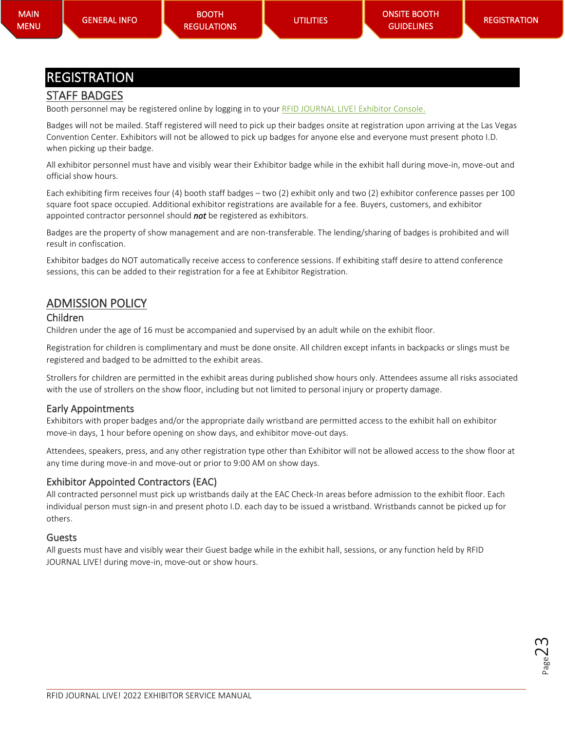# <span id="page-22-0"></span>REGISTRATION

# <span id="page-22-1"></span>STAFF BADGES

Booth personnel may be registered online by logging in to you[r RFID JOURNAL LIVE!](https://rfid.a2zinc.net/Live2022/Public/e_exhibitorconsole.aspx?ID=35817&_ga=2.154866556.593133478.1643748309-148552191.1627307263) Exhibitor Console.

Badges will not be mailed. Staff registered will need to pick up their badges onsite at registration upon arriving at the Las Vegas Convention Center. Exhibitors will not be allowed to pick up badges for anyone else and everyone must present photo I.D. when picking up their badge.

All exhibitor personnel must have and visibly wear their Exhibitor badge while in the exhibit hall during move-in, move-out and official show hours.

Each exhibiting firm receives four (4) booth staff badges – two (2) exhibit only and two (2) exhibitor conference passes per 100 square foot space occupied. Additional exhibitor registrations are available for a fee. Buyers, customers, and exhibitor appointed contractor personnel should *not* be registered as exhibitors.

Badges are the property of show management and are non-transferable. The lending/sharing of badges is prohibited and will result in confiscation.

Exhibitor badges do NOT automatically receive access to conference sessions. If exhibiting staff desire to attend conference sessions, this can be added to their registration for a fee at Exhibitor Registration.

# <span id="page-22-2"></span>ADMISSION POLICY

#### <span id="page-22-3"></span>Children

Children under the age of 16 must be accompanied and supervised by an adult while on the exhibit floor.

Registration for children is complimentary and must be done onsite. All children except infants in backpacks or slings must be registered and badged to be admitted to the exhibit areas.

Strollers for children are permitted in the exhibit areas during published show hours only. Attendees assume all risks associated with the use of strollers on the show floor, including but not limited to personal injury or property damage.

#### <span id="page-22-4"></span>Early Appointments

Exhibitors with proper badges and/or the appropriate daily wristband are permitted access to the exhibit hall on exhibitor move-in days, 1 hour before opening on show days, and exhibitor move-out days.

Attendees, speakers, press, and any other registration type other than Exhibitor will not be allowed access to the show floor at any time during move-in and move-out or prior to 9:00 AM on show days.

#### <span id="page-22-5"></span>Exhibitor Appointed Contractors (EAC)

All contracted personnel must pick up wristbands daily at the EAC Check-In areas before admission to the exhibit floor. Each individual person must sign-in and present photo I.D. each day to be issued a wristband. Wristbands cannot be picked up for others.

#### <span id="page-22-6"></span>Guests

All guests must have and visibly wear their Guest badge while in the exhibit hall, sessions, or any function held by RFID JOURNAL LIVE! during move-in, move-out or show hours.